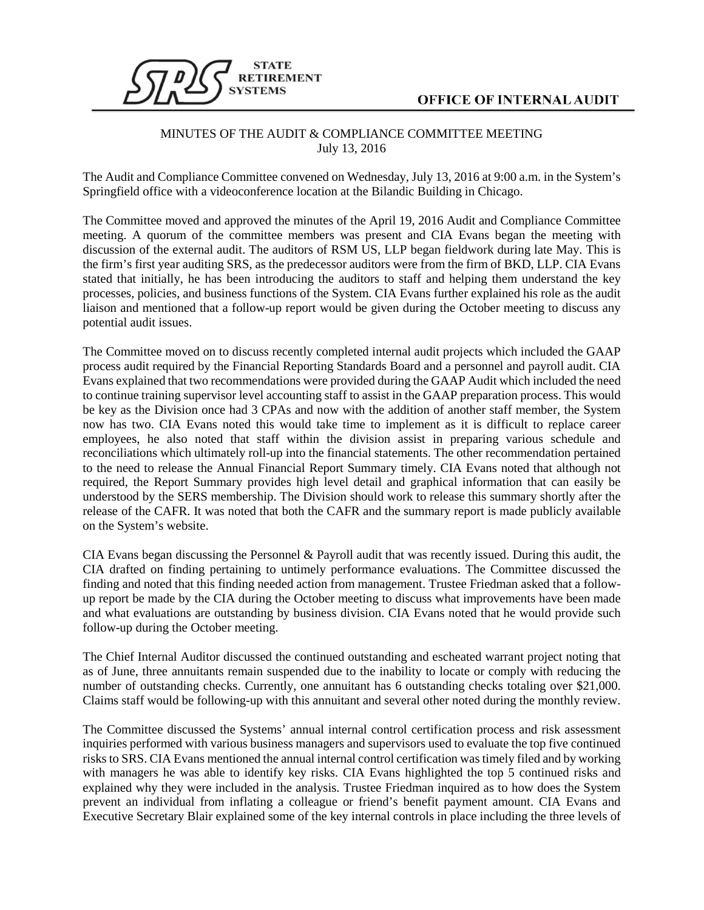

## MINUTES OF THE AUDIT & COMPLIANCE COMMITTEE MEETING July 13, 2016

The Audit and Compliance Committee convened on Wednesday, July 13, 2016 at 9:00 a.m. in the System's Springfield office with a videoconference location at the Bilandic Building in Chicago.

The Committee moved and approved the minutes of the April 19, 2016 Audit and Compliance Committee meeting. A quorum of the committee members was present and CIA Evans began the meeting with discussion of the external audit. The auditors of RSM US, LLP began fieldwork during late May. This is the firm's first year auditing SRS, as the predecessor auditors were from the firm of BKD, LLP. CIA Evans stated that initially, he has been introducing the auditors to staff and helping them understand the key processes, policies, and business functions of the System. CIA Evans further explained his role as the audit liaison and mentioned that a follow-up report would be given during the October meeting to discuss any potential audit issues.

The Committee moved on to discuss recently completed internal audit projects which included the GAAP process audit required by the Financial Reporting Standards Board and a personnel and payroll audit. CIA Evans explained that two recommendations were provided during the GAAP Audit which included the need to continue training supervisor level accounting staff to assist in the GAAP preparation process. This would be key as the Division once had 3 CPAs and now with the addition of another staff member, the System now has two. CIA Evans noted this would take time to implement as it is difficult to replace career employees, he also noted that staff within the division assist in preparing various schedule and reconciliations which ultimately roll-up into the financial statements. The other recommendation pertained to the need to release the Annual Financial Report Summary timely. CIA Evans noted that although not required, the Report Summary provides high level detail and graphical information that can easily be understood by the SERS membership. The Division should work to release this summary shortly after the release of the CAFR. It was noted that both the CAFR and the summary report is made publicly available on the System's website.

CIA Evans began discussing the Personnel & Payroll audit that was recently issued. During this audit, the CIA drafted on finding pertaining to untimely performance evaluations. The Committee discussed the finding and noted that this finding needed action from management. Trustee Friedman asked that a followup report be made by the CIA during the October meeting to discuss what improvements have been made and what evaluations are outstanding by business division. CIA Evans noted that he would provide such follow-up during the October meeting.

The Chief Internal Auditor discussed the continued outstanding and escheated warrant project noting that as of June, three annuitants remain suspended due to the inability to locate or comply with reducing the number of outstanding checks. Currently, one annuitant has 6 outstanding checks totaling over \$21,000. Claims staff would be following-up with this annuitant and several other noted during the monthly review.

The Committee discussed the Systems' annual internal control certification process and risk assessment inquiries performed with various business managers and supervisors used to evaluate the top five continued risks to SRS. CIA Evans mentioned the annual internal control certification was timely filed and by working with managers he was able to identify key risks. CIA Evans highlighted the top 5 continued risks and explained why they were included in the analysis. Trustee Friedman inquired as to how does the System prevent an individual from inflating a colleague or friend's benefit payment amount. CIA Evans and Executive Secretary Blair explained some of the key internal controls in place including the three levels of